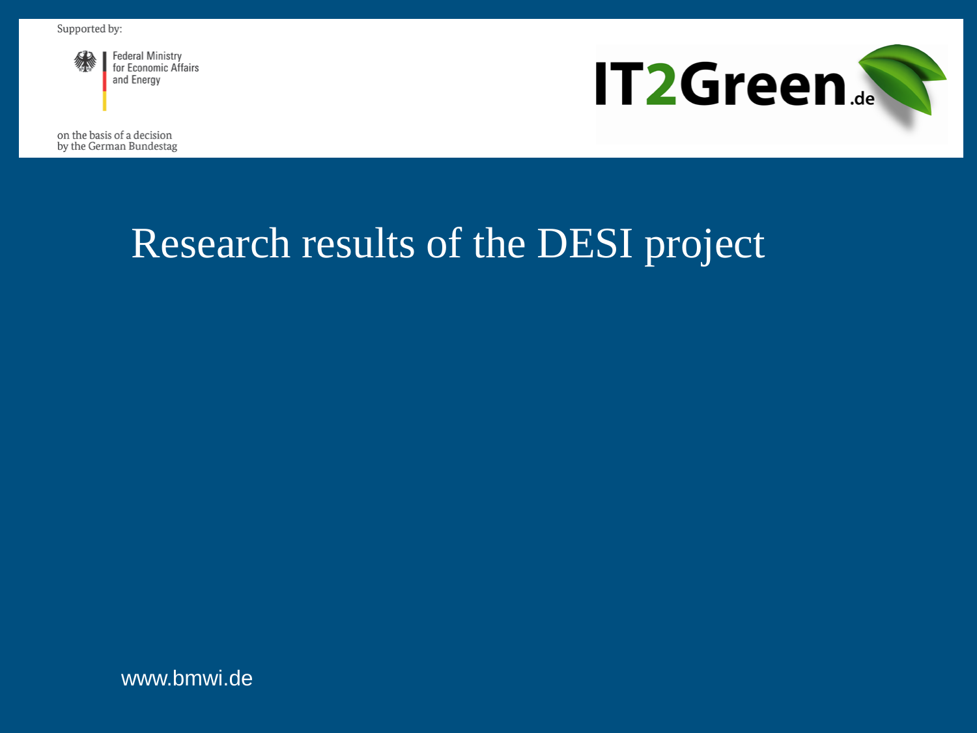

**Federal Ministry** for Economic Affairs and Energy



on the basis of a decision by the German Bundestag

# Research results of the DESI project

www.bmwi.de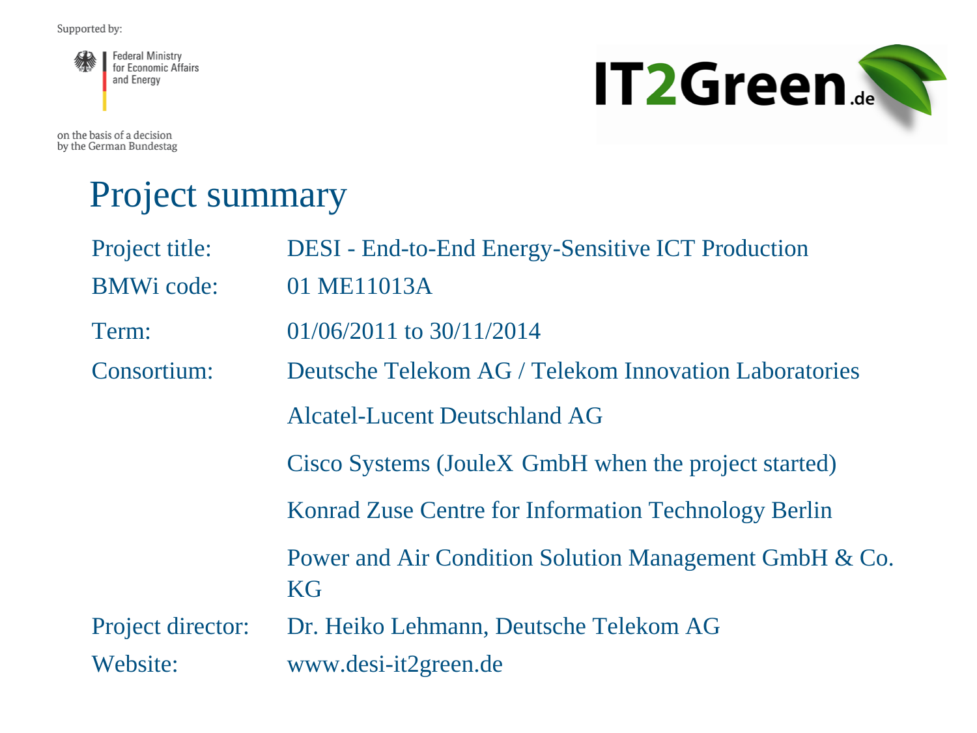

**IT2Green.** 

on the basis of a decision by the German Bundestag

# Project summary

| Project title:    | <b>DESI</b> - End-to-End Energy-Sensitive ICT Production            |
|-------------------|---------------------------------------------------------------------|
| <b>BMWi</b> code: | 01 ME11013A                                                         |
| Term:             | $01/06/2011$ to $30/11/2014$                                        |
| Consortium:       | Deutsche Telekom AG / Telekom Innovation Laboratories               |
|                   | <b>Alcatel-Lucent Deutschland AG</b>                                |
|                   | Cisco Systems (JouleX GmbH when the project started)                |
|                   | Konrad Zuse Centre for Information Technology Berlin                |
|                   | Power and Air Condition Solution Management GmbH & Co.<br><b>KG</b> |
| Project director: | Dr. Heiko Lehmann, Deutsche Telekom AG                              |
| Website:          | www.desi-it2green.de                                                |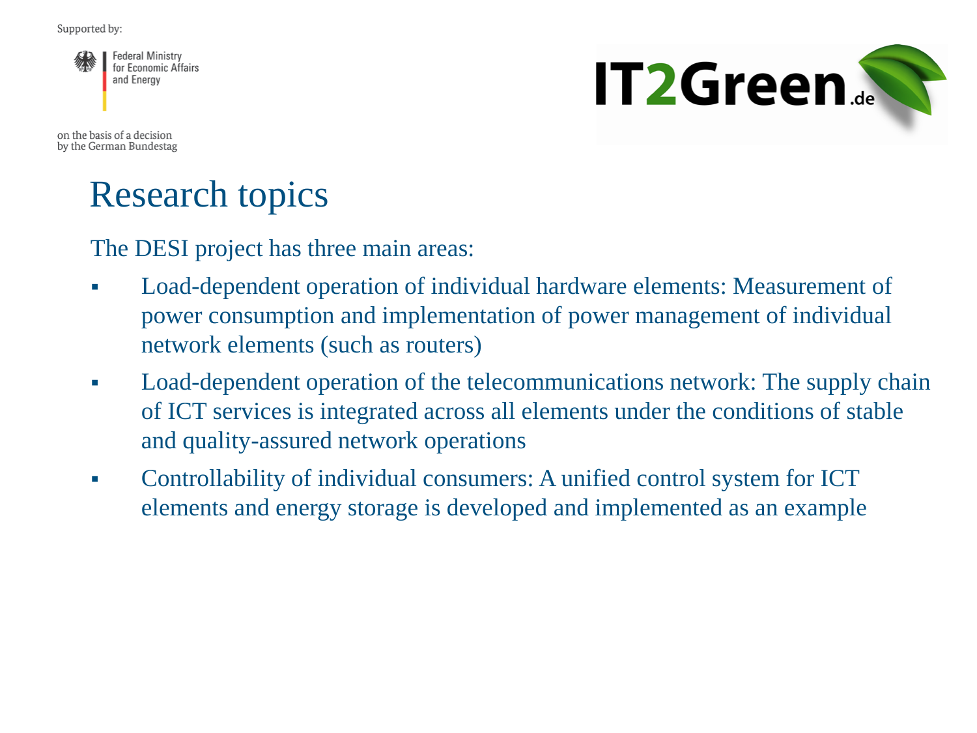

**IT2Green.** 

on the basis of a decision by the German Bundestag

#### Research topics

The DESI project has three main areas:

- Load-dependent operation of individual hardware elements: Measurement of power consumption and implementation of power management of individual network elements (such as routers)
- Load-dependent operation of the telecommunications network: The supply chain of ICT services is integrated across all elements under the conditions of stable and quality-assured network operations
- Controllability of individual consumers: A unified control system for ICT elements and energy storage is developed and implemented as an example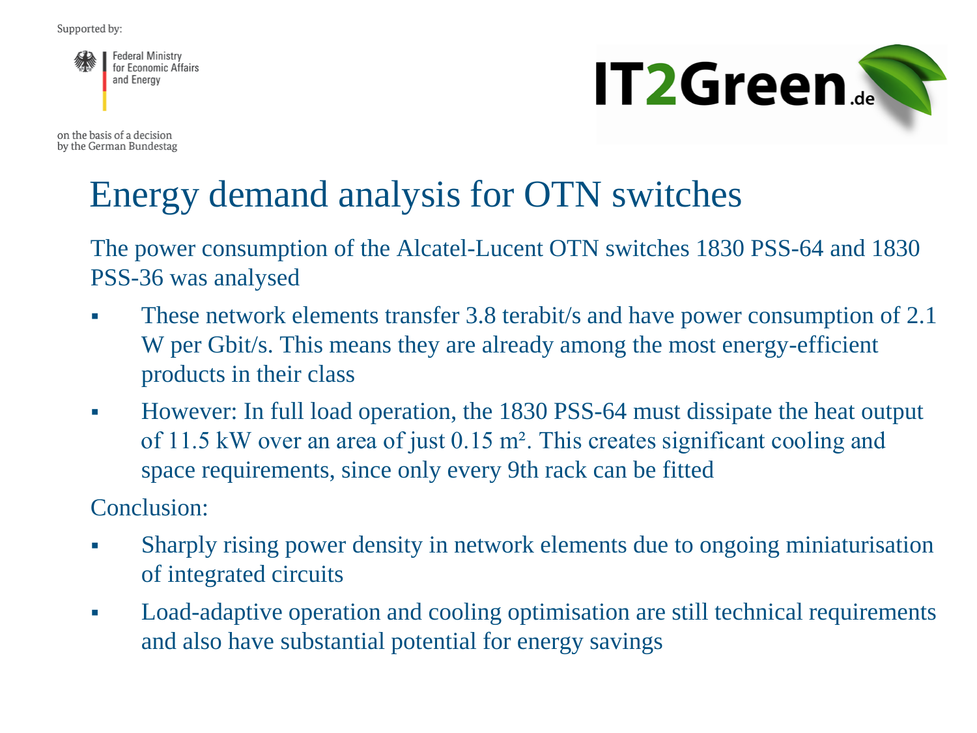

on the basis of a decision by the German Bundestag



### Energy demand analysis for OTN switches

The power consumption of the Alcatel-Lucent OTN switches 1830 PSS-64 and 1830 PSS-36 was analysed

- These network elements transfer 3.8 terabit/s and have power consumption of 2.1 W per Gbit/s. This means they are already among the most energy-efficient products in their class
- However: In full load operation, the 1830 PSS-64 must dissipate the heat output of 11.5 kW over an area of just 0.15 m². This creates significant cooling and space requirements, since only every 9th rack can be fitted

Conclusion:

- Sharply rising power density in network elements due to ongoing miniaturisation of integrated circuits
- Load-adaptive operation and cooling optimisation are still technical requirements and also have substantial potential for energy savings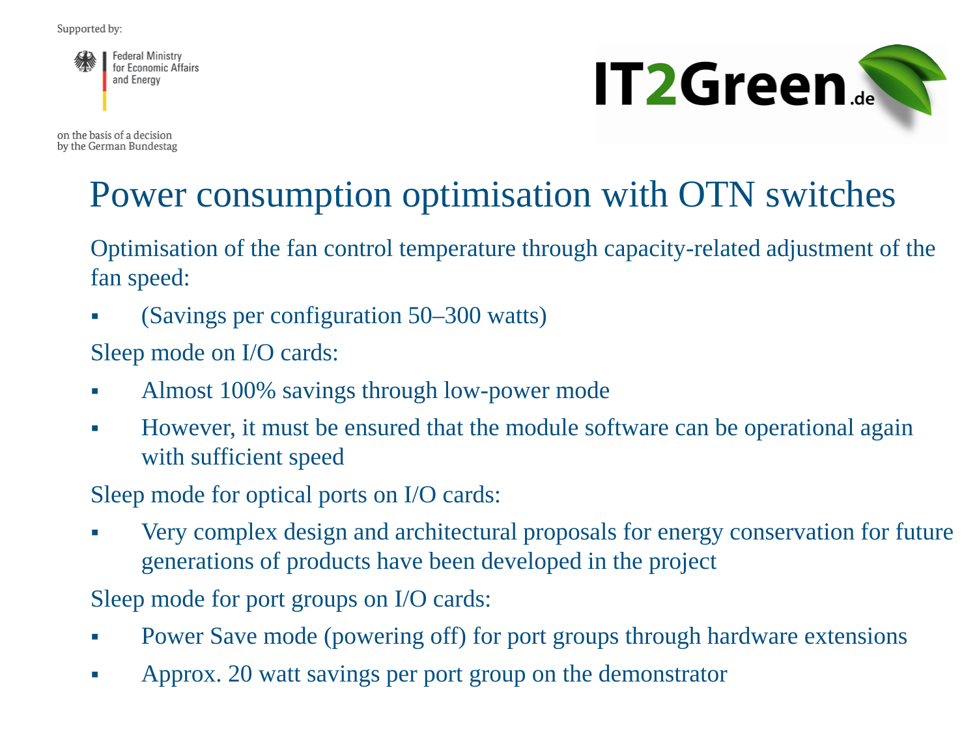**Federal Ministry** for Economic Affairs and Energy

**IT2Green...** 

on the basis of a decision by the German Bundestag

### Power consumption optimisation with OTN switches

Optimisation of the fan control temperature through capacity-related adjustment of the fan speed:

(Savings per configuration 50–300 watts)

Sleep mode on I/O cards:

- Almost 100% savings through low-power mode
- However, it must be ensured that the module software can be operational again with sufficient speed

Sleep mode for optical ports on I/O cards:

 Very complex design and architectural proposals for energy conservation for future generations of products have been developed in the project

Sleep mode for port groups on I/O cards:

- Power Save mode (powering off) for port groups through hardware extensions
- Approx. 20 watt savings per port group on the demonstrator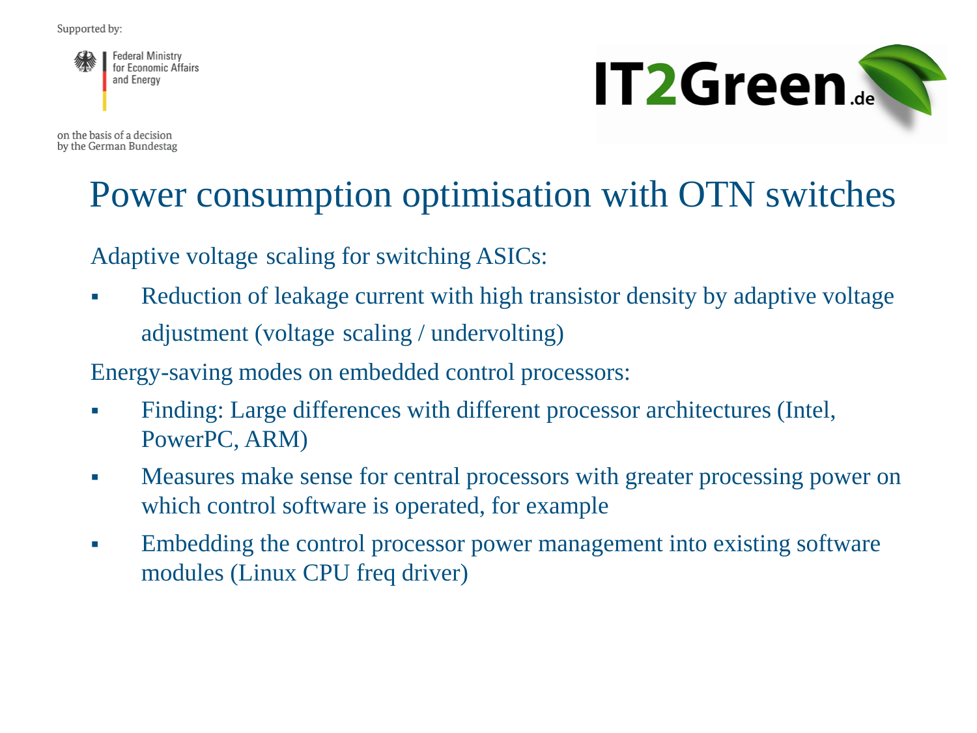**Federal Ministry** for Economic Affairs and Energy

on the basis of a decision by the German Bundestag



#### Power consumption optimisation with OTN switches

Adaptive voltage scaling for switching ASICs:

• Reduction of leakage current with high transistor density by adaptive voltage adjustment (voltage scaling / undervolting)

Energy-saving modes on embedded control processors:

- Finding: Large differences with different processor architectures (Intel, PowerPC, ARM)
- Measures make sense for central processors with greater processing power on which control software is operated, for example
- Embedding the control processor power management into existing software modules (Linux CPU freq driver)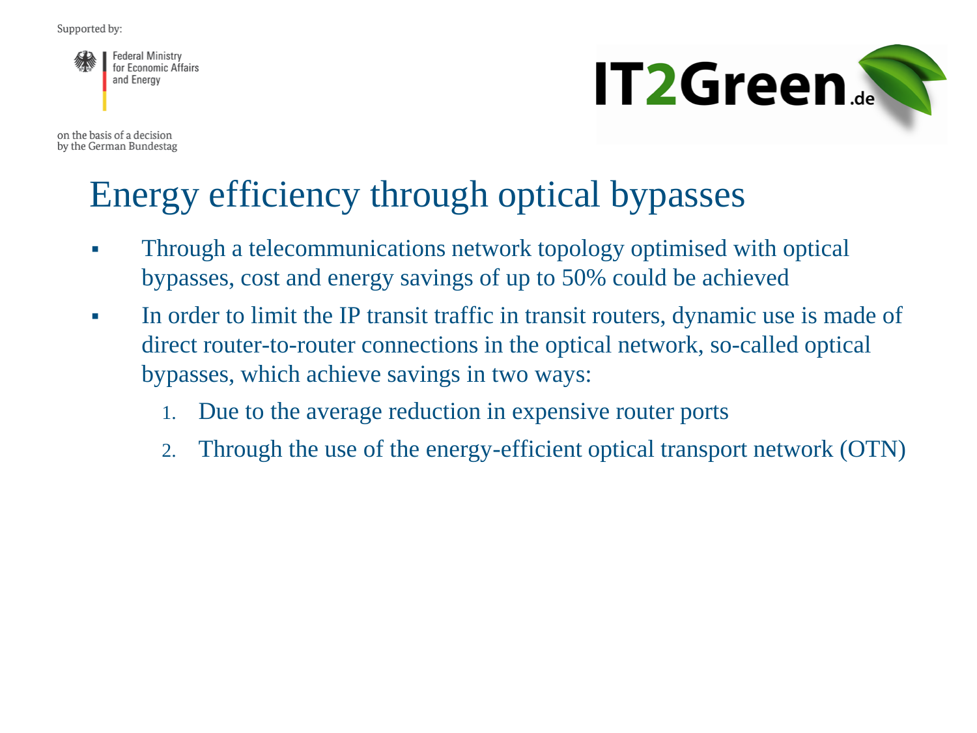**Federal Ministry** for Economic Affairs and Energy

on the basis of a decision by the German Bundestag



### Energy efficiency through optical bypasses

- Through a telecommunications network topology optimised with optical bypasses, cost and energy savings of up to 50% could be achieved
- In order to limit the IP transit traffic in transit routers, dynamic use is made of direct router-to-router connections in the optical network, so-called optical bypasses, which achieve savings in two ways:
	- 1. Due to the average reduction in expensive router ports
	- 2. Through the use of the energy-efficient optical transport network (OTN)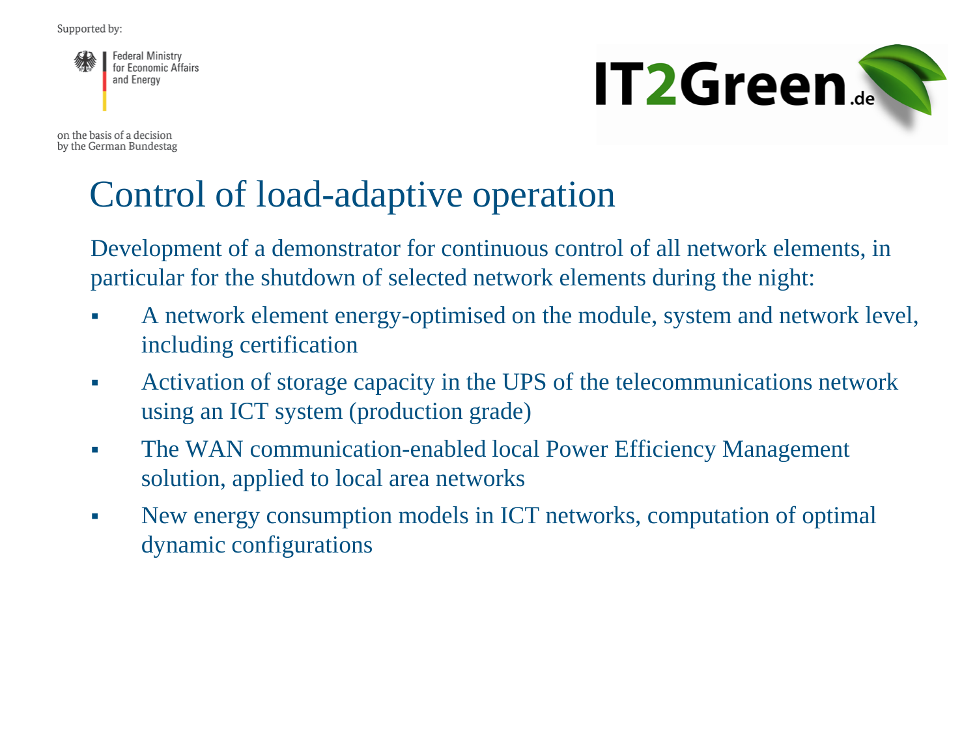

on the basis of a decision by the German Bundestag



#### Control of load-adaptive operation

Development of a demonstrator for continuous control of all network elements, in particular for the shutdown of selected network elements during the night:

- A network element energy-optimised on the module, system and network level, including certification
- Activation of storage capacity in the UPS of the telecommunications network using an ICT system (production grade)
- The WAN communication-enabled local Power Efficiency Management solution, applied to local area networks
- New energy consumption models in ICT networks, computation of optimal dynamic configurations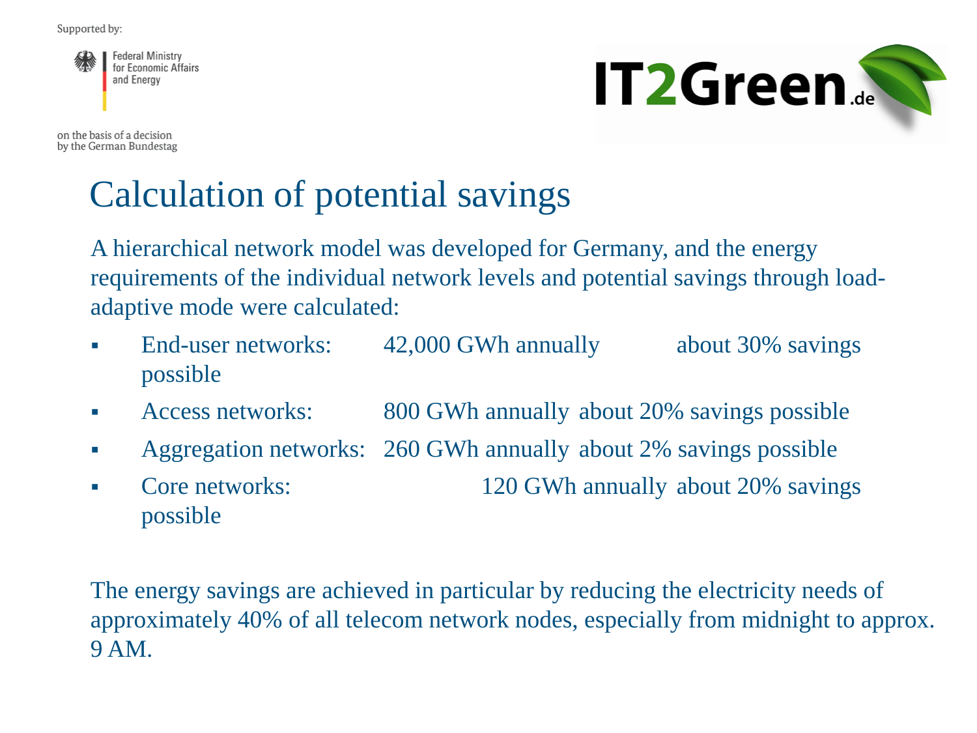

on the basis of a decision by the German Bundestag



# Calculation of potential savings

A hierarchical network model was developed for Germany, and the energy requirements of the individual network levels and potential savings through loadadaptive mode were calculated:

- End-user networks: 42,000 GWh annually about 30% savings possible
- Access networks: 800 GWh annually about 20% savings possible
- Aggregation networks: 260 GWh annually about 2% savings possible
- Core networks: 120 GWh annually about 20% savings possible

The energy savings are achieved in particular by reducing the electricity needs of approximately 40% of all telecom network nodes, especially from midnight to approx. 9 AM.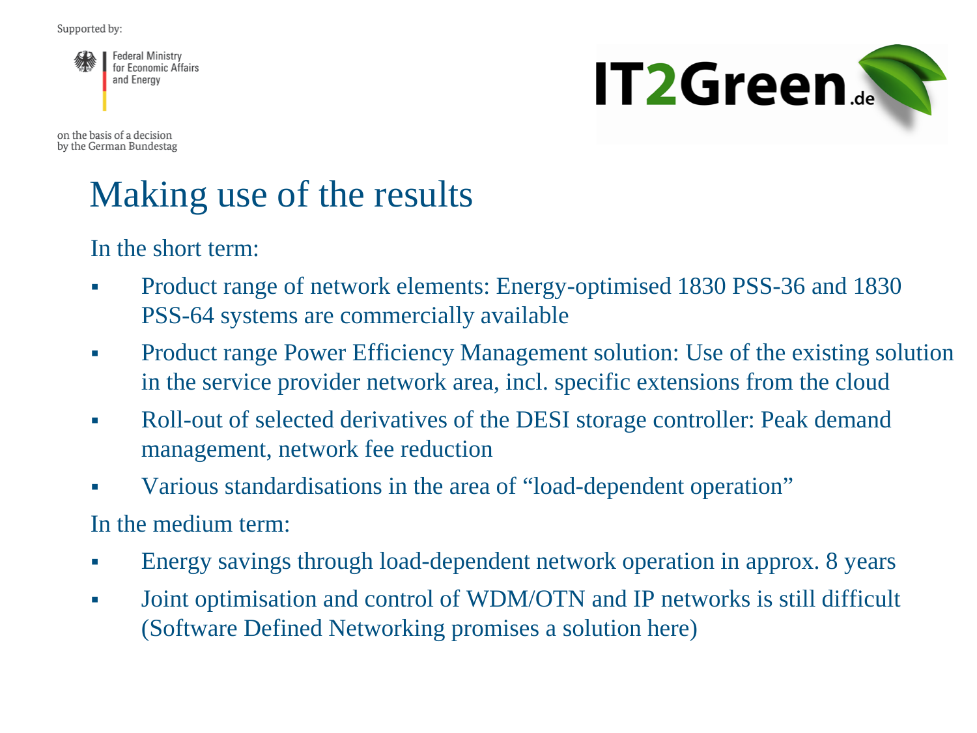**Federal Ministry** for Economic Affairs and Energy

**IT2Green...** 

on the basis of a decision by the German Bundestag

# Making use of the results

In the short term:

- Product range of network elements: Energy-optimised 1830 PSS-36 and 1830 PSS-64 systems are commercially available
- Product range Power Efficiency Management solution: Use of the existing solution in the service provider network area, incl. specific extensions from the cloud
- Roll-out of selected derivatives of the DESI storage controller: Peak demand management, network fee reduction
- Various standardisations in the area of "load-dependent operation"

In the medium term:

- Energy savings through load-dependent network operation in approx. 8 years
- Joint optimisation and control of WDM/OTN and IP networks is still difficult (Software Defined Networking promises a solution here)